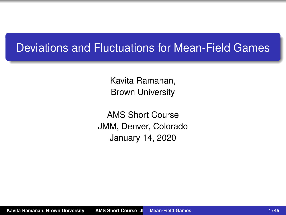#### <span id="page-0-0"></span>Deviations and Fluctuations for Mean-Field Games

Kavita Ramanan, Brown University

AMS Short Course JMM, Denver, Colorado January 14, 2020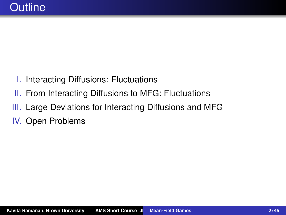- I. Interacting Diffusions: Fluctuations
- II. From Interacting Diffusions to MFG: Fluctuations
- III. Large Deviations for Interacting Diffusions and MFG
- IV. Open Problems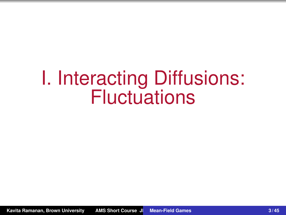# I. Interacting Diffusions: **Fluctuations**

**Kavita Ramanan, Brown University AMS Short Course JI Mean-Field Games June 14, 2020 Mean-Field Games 3/45**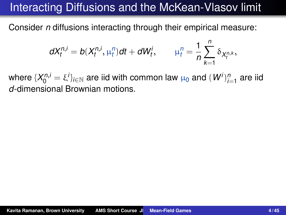# Interacting Diffusions and the McKean-Vlasov limit

Consider *n* diffusions interacting through their empirical measure:

$$
dX_t^{n,i}=b(X_t^{n,i},\mu_t^n)dt+dW_t^i, \qquad \mu_t^n=\frac{1}{n}\sum_{k=1}^n \delta_{X_t^{n,k}},
$$

where  $\{X_0^{n,i}=\xi^i\}_{i\in\mathbb{N}}$  are iid with common law  $\mu_0$  and  $(W^i)_{i=1}^n$  are iid *d*-dimensional Brownian motions.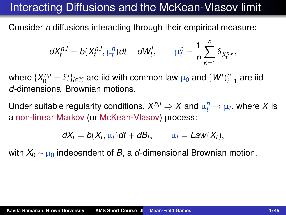# Interacting Diffusions and the McKean-Vlasov limit

Consider *n* diffusions interacting through their empirical measure:

$$
dX_t^{n,i}=b(X_t^{n,i},\mu_t^n)dt+dW_t^i, \qquad \mu_t^n=\frac{1}{n}\sum_{k=1}^n \delta_{X_t^{n,k}},
$$

where  $\{X_0^{n,i}=\xi^i\}_{i\in\mathbb{N}}$  are iid with common law  $\mu_0$  and  $(W^i)_{i=1}^n$  are iid *d*-dimensional Brownian motions.

Under suitable regularity conditions,  $X^{n,i} \Rightarrow X$  and  $\mu_t^n \to \mu_t$ , where X is a non-linear Markov (or McKean-Vlasov) process:

$$
dX_t = b(X_t, \mu_t)dt + dB_t, \qquad \mu_t = Law(X_t),
$$

with  $X_0 \sim \mu_0$  independent of *B*, a *d*-dimensional Brownian motion.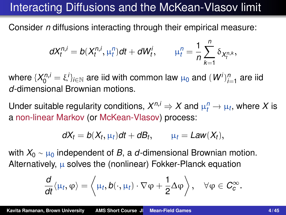# Interacting Diffusions and the McKean-Vlasov limit

Consider *n* diffusions interacting through their empirical measure:

$$
dX_t^{n,i}=b(X_t^{n,i},\mu_t^n)dt+dW_t^i, \qquad \mu_t^n=\frac{1}{n}\sum_{k=1}^n \delta_{X_t^{n,k}},
$$

where  $\{X_0^{n,i}=\xi^i\}_{i\in\mathbb{N}}$  are iid with common law  $\mu_0$  and  $(W^i)_{i=1}^n$  are iid *d*-dimensional Brownian motions.

Under suitable regularity conditions,  $X^{n,i} \Rightarrow X$  and  $\mu_t^n \to \mu_t$ , where X is a non-linear Markov (or McKean-Vlasov) process:

$$
dX_t = b(X_t, \mu_t)dt + dB_t, \qquad \mu_t = Law(X_t),
$$

with  $X_0 \sim \mu_0$  independent of *B*, a *d*-dimensional Brownian motion. Alternatively,  $\mu$  solves the (nonlinear) Fokker-Planck equation

$$
\frac{d}{dt}\langle \mu_t, \phi \rangle = \left\langle \mu_t, b(\cdot, \mu_t) \cdot \nabla \phi + \frac{1}{2} \Delta \phi \right\rangle, \quad \forall \phi \in C_c^\infty.
$$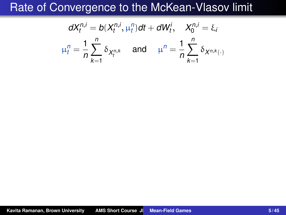$$
dX_t^{n,i} = b(X_t^{n,i}, \mu_t^n)dt + dW_t^i, \quad X_0^{n,i} = \xi_i
$$
  

$$
\mu_t^n = \frac{1}{n} \sum_{k=1}^n \delta_{X_t^{n,k}}
$$
 and 
$$
\mu^n = \frac{1}{n} \sum_{k=1}^n \delta_{X_n^{n,k}}.
$$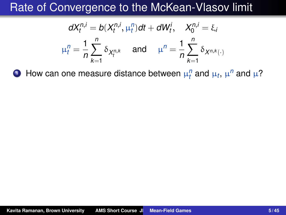$$
dX_t^{n,i} = b(X_t^{n,i}, \mu_t^n)dt + dW_t^i, \quad X_0^{n,i} = \xi_i
$$
  

$$
\mu_t^n = \frac{1}{n}\sum_{k=1}^n \delta_{X_t^{n,k}}
$$
 and 
$$
\mu^n = \frac{1}{n}\sum_{k=1}^n \delta_{X_n^{n,k}}.
$$

**1** How can one measure distance between  $\mu_t^n$  and  $\mu_t$ ,  $\mu^n$  and  $\mu$ ?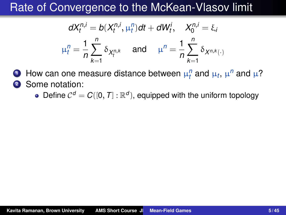$$
dX_t^{n,i} = b(X_t^{n,i}, \mu_t^n)dt + dW_t^i, \quad X_0^{n,i} = \xi_i
$$
  

$$
\mu_t^n = \frac{1}{n}\sum_{k=1}^n \delta_{X_t^{n,k}}
$$
 and 
$$
\mu^n = \frac{1}{n}\sum_{k=1}^n \delta_{X_n^{n,k}}.
$$

**1** How can one measure distance between  $\mu_t^n$  and  $\mu_t$ ,  $\mu^n$  and  $\mu$ ? **<sup>2</sup>** Some notation:

Define  $C^d = C([0, T] : \mathbb{R}^d)$ , equipped with the uniform topology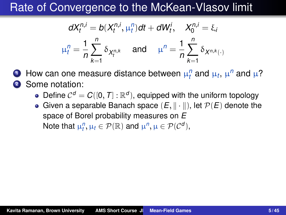$$
dX_t^{n,i} = b(X_t^{n,i}, \mu_t^n)dt + dW_t^i, \quad X_0^{n,i} = \xi_i
$$
  

$$
\mu_t^n = \frac{1}{n} \sum_{k=1}^n \delta_{X_t^{n,k}}
$$
 and 
$$
\mu^n = \frac{1}{n} \sum_{k=1}^n \delta_{X_n^{n,k}}.
$$

**1** How can one measure distance between  $\mu_t^n$  and  $\mu_t$ ,  $\mu^n$  and  $\mu$ ? **<sup>2</sup>** Some notation:

- Define  $C^d = C([0, T] : \mathbb{R}^d)$ , equipped with the uniform topology
- Given a separable Banach space  $(E, \|\cdot\|)$ , let  $\mathcal{P}(E)$  denote the space of Borel probability measures on *E* Note that  $\mu_l^n, \mu_t \in \mathcal{P}(\mathbb{R})$  and  $\mu^n, \mu \in \mathcal{P}(\mathcal{C}^d)$ ,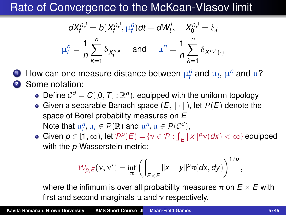$$
dX_t^{n,i} = b(X_t^{n,i}, \mu_t^n)dt + dW_t^i, \quad X_0^{n,i} = \xi_i
$$
  

$$
\mu_t^n = \frac{1}{n} \sum_{k=1}^n \delta_{X_t^{n,k}}
$$
 and 
$$
\mu^n = \frac{1}{n} \sum_{k=1}^n \delta_{X_n^{n,k}}.
$$

**1** How can one measure distance between  $\mu_t^n$  and  $\mu_t$ ,  $\mu^n$  and  $\mu$ ? **<sup>2</sup>** Some notation:

- Define  $C^d = C([0, T] : \mathbb{R}^d)$ , equipped with the uniform topology
- Given a separable Banach space  $(E, \|\cdot\|)$ , let  $\mathcal{P}(E)$  denote the space of Borel probability measures on *E* Note that  $\mu_l^n, \mu_t \in \mathcal{P}(\mathbb{R})$  and  $\mu^n, \mu \in \mathcal{P}(\mathcal{C}^d)$ ,
- Given  $p \in [1, \infty)$ , let  $\mathcal{P}^p(E) = \{v \in \mathcal{P} : \int_E ||x||^p v(dx) < \infty\}$  equipped with the *p*-Wasserstein metric:

$$
\mathcal{W}_{p,E}(\mathbf{v},\mathbf{v}')=\inf_{\pi}\left(\int_{E\times E}||x-y||^p\pi(\boldsymbol{dx},\boldsymbol{dy})\right)^{1/p},
$$

where the infimum is over all probability measures  $\pi$  on  $E \times E$  with first and second marginals  $\mu$  and  $\nu$  respectively.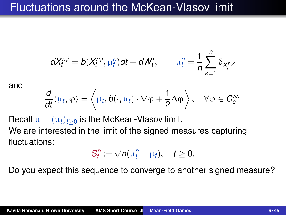#### Fluctuations around the McKean-Vlasov limit

$$
dX_t^{n,i}=b(X_t^{n,i},\mu_t^n)dt+dW_t^i, \qquad \mu_t^n=\frac{1}{n}\sum_{k=1}^n \delta_{X_t^{n,k}}
$$

and

$$
\frac{d}{dt}\langle \mu_t, \phi \rangle = \left\langle \mu_t, b(\cdot, \mu_t) \cdot \nabla \phi + \frac{1}{2} \Delta \phi \right\rangle, \quad \forall \phi \in C_c^{\infty}.
$$

Recall  $\mu = (\mu_t)_{t>0}$  is the McKean-Vlasov limit. We are interested in the limit of the signed measures capturing fluctuations:

$$
S_t^n := \sqrt{n}(\mu_t^n - \mu_t), \quad t \ge 0.
$$

Do you expect this sequence to converge to another signed measure?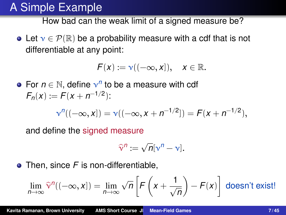## A Simple Example

How bad can the weak limit of a signed measure be?

• Let  $v \in \mathcal{P}(\mathbb{R})$  be a probability measure with a cdf that is not differentiable at any point:

 $F(x) := v((-\infty, x]), \quad x \in \mathbb{R}.$ 

For  $n \in \mathbb{N}$ , define  $v^n$  to be a measure with cdf  $F_n(x) := F(x + n^{-1/2})$ :

$$
v^{n}((-\infty, x]) = v((-\infty, x + n^{-1/2}]) = F(x + n^{-1/2}),
$$

and define the signed measure

$$
\widehat{\mathbf{v}}^n := \sqrt{n}[\mathbf{v}^n - \mathbf{v}].
$$

**•** Then, since *F* is non-differentiable.

$$
\lim_{n\to\infty} \widehat{v}^n((-\infty,x]) = \lim_{n\to\infty} \sqrt{n} \left[ F\left(x+\frac{1}{\sqrt{n}}\right) - F(x) \right] \text{ doesn't exist!}
$$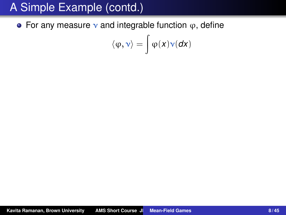# A Simple Example (contd.)

• For any measure  $\nu$  and integrable function  $\varphi$ , define

$$
\langle \phi, \nu \rangle = \int \phi(x) \nu(\textit{d} x)
$$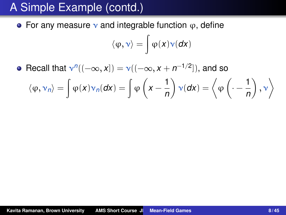# A Simple Example (contd.)

• For any measure  $\nu$  and integrable function  $\varphi$ , define

$$
\langle \phi, \nu \rangle = \int \phi(x) \nu(dx)
$$

Recall that  $v^n((-\infty, x]) = v((-\infty, x + n^{-1/2}]),$  and so

$$
\langle \varphi, v_n \rangle = \int \varphi(x) v_n(dx) = \int \varphi \left( x - \frac{1}{n} \right) v(dx) = \left\langle \varphi \left( \cdot - \frac{1}{n} \right), v \right\rangle
$$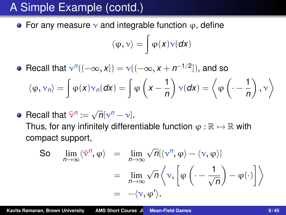# A Simple Example (contd.)

• For any measure  $\nu$  and integrable function  $\varphi$ , define

$$
\langle \varphi, \nu \rangle = \int \varphi(x) \nu(\textbf{d}x)
$$

Recall that  $v^n((-\infty, x]) = v((-\infty, x + n^{-1/2}]),$  and so

$$
\langle \varphi, v_n \rangle = \int \varphi(x) v_n(dx) = \int \varphi \left( x - \frac{1}{n} \right) v(dx) = \left\langle \varphi \left( \cdot - \frac{1}{n} \right), v \right\rangle
$$

**Recall that**  $\hat{\mathbf{v}}^n := \sqrt{n}[\mathbf{v}^n - \mathbf{v}].$ **<br>Thus, for any infinitely different** Thus, for any infinitely differentiable function  $\varphi : \mathbb{R} \mapsto \mathbb{R}$  with compact support,

So 
$$
\lim_{n \to \infty} \langle \hat{\gamma}^n, \varphi \rangle = \lim_{n \to \infty} \sqrt{n} [\langle \gamma^n, \varphi \rangle - \langle \nu, \varphi \rangle]
$$

$$
= \lim_{n \to \infty} \sqrt{n} \langle \nu, \left[ \varphi \left( \cdot - \frac{1}{\sqrt{n}} \right) - \varphi(\cdot) \right] \rangle
$$

$$
= - \langle \nu, \varphi' \rangle.
$$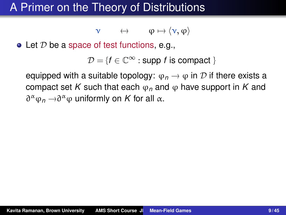## A Primer on the Theory of Distributions

 $\nu \leftrightarrow \varphi \mapsto \langle \nu, \varphi \rangle$ 

• Let  $D$  be a space of test functions, e.g.,

 $\mathcal{D} = \{f \in \mathbb{C}^\infty : \text{supp } f \text{ is compact }\}$ 

equipped with a suitable topology:  $\varphi_n \to \varphi$  in D if there exists a compact set *K* such that each  $\varphi_n$  and  $\varphi$  have support in *K* and  $∂<sup>α</sup>φ<sub>n</sub> → ∂<sup>α</sup>φ$  uniformly on *K* for all α.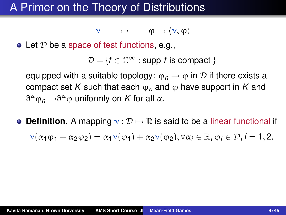## A Primer on the Theory of Distributions

 $\nu \leftrightarrow \varphi \mapsto \langle \nu, \varphi \rangle$ 

• Let  $D$  be a space of test functions, e.g.,

 $\mathcal{D} = \{f \in \mathbb{C}^\infty : \text{supp } f \text{ is compact }\}$ 

equipped with a suitable topology:  $\varphi_n \to \varphi$  in D if there exists a compact set *K* such that each  $\varphi_n$  and  $\varphi$  have support in *K* and  $∂<sup>α</sup>φ<sub>n</sub> → ∂<sup>α</sup>φ$  uniformly on *K* for all α.

**• Definition.** A mapping  $v : \mathcal{D} \mapsto \mathbb{R}$  is said to be a linear functional if  $\nu(\alpha_1\varphi_1 + \alpha_2\varphi_2) = \alpha_1\nu(\varphi_1) + \alpha_2\nu(\varphi_2), \forall \alpha_i \in \mathbb{R}, \varphi_i \in \mathcal{D}, i = 1, 2.$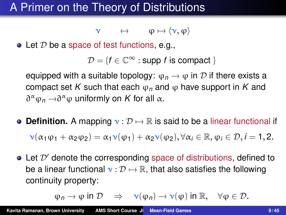# A Primer on the Theory of Distributions

 $\nu \leftrightarrow \varphi \mapsto \langle \nu, \varphi \rangle$ 

• Let  $D$  be a space of test functions, e.g.,

 $\mathcal{D} = \{f \in \mathbb{C}^\infty : \text{supp } f \text{ is compact }\}$ 

equipped with a suitable topology:  $\varphi_n \to \varphi$  in D if there exists a compact set *K* such that each  $\varphi_n$  and  $\varphi$  have support in *K* and  $∂<sup>α</sup>φ<sub>n</sub> → ∂<sup>α</sup>φ$  uniformly on *K* for all α.

- **Definition.** A mapping  $v : \mathcal{D} \mapsto \mathbb{R}$  is said to be a linear functional if  $\nu(\alpha_1\varphi_1 + \alpha_2\varphi_2) = \alpha_1\nu(\varphi_1) + \alpha_2\nu(\varphi_2), \forall \alpha_i \in \mathbb{R}, \varphi_i \in \mathcal{D}, i = 1, 2.$
- $\bullet$  Let  $\mathcal{D}'$  denote the corresponding space of distributions, defined to be a linear functional  $\nu : \mathcal{D} \mapsto \mathbb{R}$ , that also satisfies the following continuity property:

$$
\varphi_n \to \varphi
$$
 in  $\mathcal{D} \implies \nu(\varphi_n) \to \nu(\varphi)$  in  $\mathbb{R}, \quad \forall \varphi \in \mathcal{D}$ .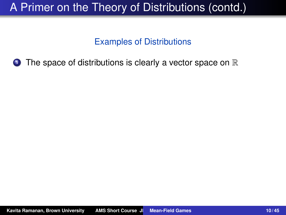# A Primer on the Theory of Distributions (contd.)

#### Examples of Distributions

**1** The space of distributions is clearly a vector space on  $\mathbb R$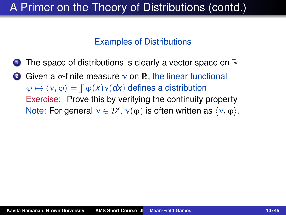#### Examples of Distributions

- **1** The space of distributions is clearly a vector space on  $\mathbb R$
- **2** Given a σ-finite measure *ν* on R, the linear functional  $\varphi \mapsto \langle \nu, \varphi \rangle = \int \varphi(x) \nu(dx)$  defines a distribution Exercise: Prove this by verifying the continuity property Note: For general  $v \in \mathcal{D}'$ ,  $v(\varphi)$  is often written as  $\langle v, \varphi \rangle$ .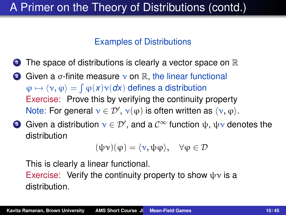#### Examples of Distributions

- **1** The space of distributions is clearly a vector space on  $\mathbb R$
- **2** Given a σ-finite measure *ν* on R, the linear functional  $\varphi \mapsto \langle \nu, \varphi \rangle = \int \varphi(x) \nu(dx)$  defines a distribution Exercise: Prove this by verifying the continuity property Note: For general  $v \in \mathcal{D}'$ ,  $v(\varphi)$  is often written as  $\langle v, \varphi \rangle$ .
- **3** Given a distribution  $\gamma \in \mathcal{D}'$ , and a  $\mathcal{C}^{\infty}$  function  $\psi$ ,  $\psi \gamma$  denotes the distribution

$$
(\psi\nu)(\phi)=\langle\nu,\psi\phi\rangle,\quad\forall\phi\in\mathcal{D}
$$

This is clearly a linear functional.

Exercise: Verify the continuity property to show  $\psi$  is a distribution.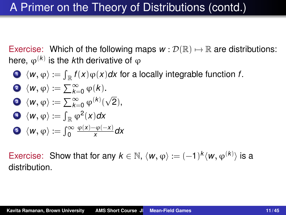Exercise: Which of the following maps  $w: \mathcal{D}(\mathbb{R}) \mapsto \mathbb{R}$  are distributions: here,  $\varphi^{(k)}$  is the *k*th derivative of  $\varphi$ 

**1**  $\langle w, \varphi \rangle := \int_{\mathbb{R}} f(x) \varphi(x) dx$  for a locally integrable function *f*. **2**  $\langle \mathbf{w}, \varphi \rangle := \sum_{k=0}^{\infty} \varphi(k).$ **3**  $\langle \mathbf{w}, \varphi \rangle := \sum_{k=0}^{\infty} \varphi^{(k)}(k)$ √ 2), **4**  $\langle w, \varphi \rangle := \int_{\mathbb{R}} \varphi^2(x) dx$ **5**  $\langle W, \phi \rangle := \int_{0}^{\infty}$ ϕ(*x*)−ϕ(−*x*)  $\frac{f(x)-f(x)}{x}$  dx

Exercise: Show that for any  $k \in \mathbb{N}$ ,  $\langle w, \varphi \rangle := (-1)^k \langle w, \varphi^{(k)} \rangle$  is a distribution.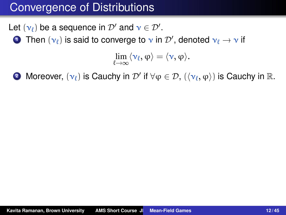# Convergence of Distributions

Let  $(v_\ell)$  be a sequence in  $\mathcal{D}'$  and  $v \in \mathcal{D}'.$ 

**1** Then  $(v_\ell)$  is said to converge to  $v$  in  $\mathcal{D}'$ , denoted  $v_\ell \to v$  if

$$
\lim_{\ell\to\infty}\langle \nu_\ell,\phi\rangle=\langle \nu,\phi\rangle.
$$

**2** Moreover,  $(\nu_\ell)$  is Cauchy in  $\mathcal{D}'$  if  $\forall \varphi \in \mathcal{D}$ ,  $(\langle \nu_\ell, \varphi \rangle)$  is Cauchy in  $\mathbb{R}$ .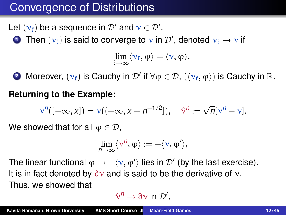# Convergence of Distributions

Let  $(v_\ell)$  be a sequence in  $\mathcal{D}'$  and  $v \in \mathcal{D}'.$ 

**1** Then  $(v_\ell)$  is said to converge to  $v$  in  $\mathcal{D}'$ , denoted  $v_\ell \to v$  if

$$
\lim_{\ell\to\infty}\langle \nu_\ell,\phi\rangle=\langle \nu,\phi\rangle.
$$

**2** Moreover,  $(\nu_\ell)$  is Cauchy in  $\mathcal{D}'$  if  $\forall \varphi \in \mathcal{D}$ ,  $(\langle \nu_\ell, \varphi \rangle)$  is Cauchy in  $\mathbb{R}$ .

#### **Returning to the Example:**

$$
\nu^n((-\infty, x]) = \nu((-\infty, x + n^{-1/2}]), \quad \hat{\nu}^n := \sqrt{n}[\nu^n - \nu].
$$

We showed that for all  $\varphi \in \mathcal{D}$ ,

$$
\lim_{n\to\infty}\langle \hat{v}^n,\phi\rangle:=-\langle v,\phi'\rangle,
$$

The linear functional  $\varphi \mapsto -\langle \nu, \varphi' \rangle$  lies in  $\mathcal{D}'$  (by the last exercise). It is in fact denoted by  $\partial y$  and is said to be the derivative of  $y$ . Thus, we showed that

$$
\hat{\mathbf{v}}^n \to \partial \mathbf{v} \text{ in } \mathcal{D}'.
$$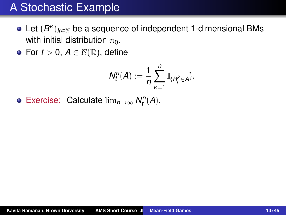# A Stochastic Example

- Let  $(B^k)_{k \in \mathbb{N}}$  be a sequence of independent 1-dimensional BMs with initial distribution  $\pi_0$ .
- For  $t > 0$ ,  $A \in \mathcal{B}(\mathbb{R})$ , define

$$
N_t^n(A):=\frac{1}{n}\sum_{k=1}^n\mathbb{I}_{\{B_t^k\in A\}}.
$$

Exercise: Calculate  $\lim_{n\to\infty} N_t^n(A)$ .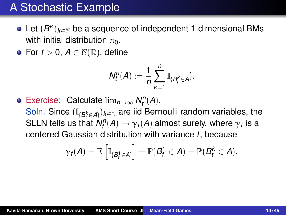# A Stochastic Example

- Let  $(B^k)_{k \in \mathbb{N}}$  be a sequence of independent 1-dimensional BMs with initial distribution  $\pi_0$ .
- For  $t > 0$ ,  $A \in \mathcal{B}(\mathbb{R})$ , define

$$
N_t^n(A):=\frac{1}{n}\sum_{k=1}^n\mathbb{I}_{\{B_t^k\in A\}}.
$$

Exercise: Calculate  $\lim_{n\to\infty} N_t^n(A)$ . Soln. Since  $(\mathbb{I}_{\{B_i^k\in A\}})_{k\in\mathbb{N}}$  are iid Bernoulli random variables, the SLLN tells us that  $N_l^n(A) \to \gamma_t(A)$  almost surely, where  $\gamma_t$  is a centered Gaussian distribution with variance *t*, because

$$
\gamma_t(A) = \mathbb{E}\left[\mathbb{I}_{\{B_t^1 \in A\}}\right] = \mathbb{P}(B_t^1 \in A) = \mathbb{P}(B_t^k \in A).
$$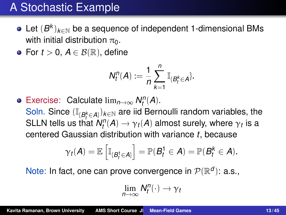# A Stochastic Example

- Let  $(B^k)_{k \in \mathbb{N}}$  be a sequence of independent 1-dimensional BMs with initial distribution  $\pi_0$ .
- For  $t > 0$ ,  $A \in \mathcal{B}(\mathbb{R})$ , define

$$
N_t^n(A):=\frac{1}{n}\sum_{k=1}^n\mathbb{I}_{\{B_t^k\in A\}}.
$$

Exercise: Calculate  $\lim_{n\to\infty} N_t^n(A)$ . Soln. Since  $(\mathbb{I}_{\{B_i^k\in A\}})_{k\in\mathbb{N}}$  are iid Bernoulli random variables, the SLLN tells us that  $N_l^n(A) \to \gamma_t(A)$  almost surely, where  $\gamma_t$  is a centered Gaussian distribution with variance *t*, because

$$
\gamma_t(A) = \mathbb{E}\left[\mathbb{I}_{\{B_t^1 \in A\}}\right] = \mathbb{P}(B_t^1 \in A) = \mathbb{P}(B_t^k \in A).
$$

Note: In fact, one can prove convergence in  $\mathcal{P}(\mathbb{R}^d)$ : a.s.,

$$
\lim_{n\to\infty}N_t^n(\cdot)\to\gamma_t
$$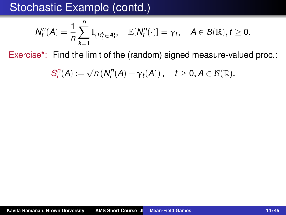Stochastic Example (contd.)

$$
N_t^n(A) = \frac{1}{n} \sum_{k=1}^n \mathbb{I}_{\{B_t^k \in A\}}, \quad \mathbb{E}[N_t^n(\cdot)] = \gamma_t, \quad A \in \mathcal{B}(\mathbb{R}), t \geq 0.
$$

Exercise\*: Find the limit of the (random) signed measure-valued proc.:

$$
S_t^n(A) := \sqrt{n} \left( N_t^n(A) - \gamma_t(A) \right), \quad t \geq 0, A \in \mathcal{B}(\mathbb{R}).
$$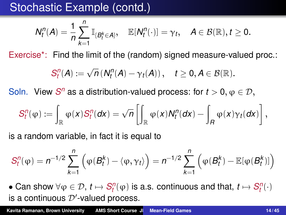Stochastic Example (contd.)

$$
N_t^n(A) = \frac{1}{n} \sum_{k=1}^n \mathbb{I}_{\{B_t^k \in A\}}, \quad \mathbb{E}[N_t^n(\cdot)] = \gamma_t, \quad A \in \mathcal{B}(\mathbb{R}), t \geq 0.
$$

Exercise\*: Find the limit of the (random) signed measure-valued proc.:

$$
S_t^n(A) := \sqrt{n} \left( N_t^n(A) - \gamma_t(A) \right), \quad t \geq 0, A \in \mathcal{B}(\mathbb{R}).
$$

Soln. View  $S^n$  as a distribution-valued process: for  $t > 0$ ,  $\varphi \in \mathcal{D}$ ,

$$
S_t^n(\varphi) := \int_{\mathbb{R}} \varphi(x) S_t^n(\boldsymbol{dx}) = \sqrt{n} \left[ \int_{\mathbb{R}} \varphi(x) N_t^n(\boldsymbol{dx}) - \int_{\boldsymbol{B}} \varphi(x) \gamma_t(\boldsymbol{dx}) \right],
$$

is a random variable, in fact it is equal to

$$
S_t^n(\varphi) = n^{-1/2} \sum_{k=1}^n \left( \varphi(B_t^k) - \langle \varphi, \gamma_t \rangle \right) = n^{-1/2} \sum_{k=1}^n \left( \varphi(B_t^k) - \mathbb{E}[\varphi(B_t^k)] \right)
$$

• Can show  $\forall \varphi \in \mathcal{D}, t \mapsto S_t^n(\varphi)$  is a.s. continuous and that,  $t \mapsto S_t^n(\cdot)$ is a continuous  $\mathcal{D}'$ -valued process.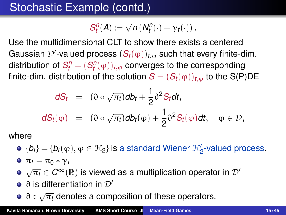# Stochastic Example (contd.)

$$
S_t^n(A) := \sqrt{n} \left( N_t^n(\cdot) - \gamma_t(\cdot) \right).
$$

Use the multidimensional CLT to show there exists a centered Gaussian  $\mathcal{D}'$ -valued process  $(S_t(\varphi))_{t,\varphi}$  such that every finite-dim. distribution of  $\mathcal{S}_t^n = (S_t^n(\varphi))_{t,\varphi}$  converges to the corresponding finite-dim. distribution of the solution  $S = (S_t(\varphi))_{t,\varphi}$  to the S(P)DE

$$
dS_t = (\partial \circ \sqrt{\pi_t}) db_t + \frac{1}{2} \partial^2 S_t dt,
$$
  

$$
dS_t(\varphi) = (\partial \circ \sqrt{\pi_t}) db_t(\varphi) + \frac{1}{2} \partial^2 S_t(\varphi) dt, \varphi \in \mathcal{D},
$$

where

- $\{b_t\} = \{b_t(\varphi), \varphi \in \mathcal{H}_2\}$  is a standard Wiener  $\mathcal{H}'_2$ -valued process.  $\bullet$   $\pi_t = \pi_0 * \gamma_t$
- $\sqrt{\pi_t} \in C^\infty(\mathbb{R})$  is viewed as a multiplication operator in  $\mathcal{D}'$
- $\bullet$  ∂ is differentiation in  $\mathcal{D}'$
- ∂ √ π*<sup>t</sup>* denotes a composition of these operators.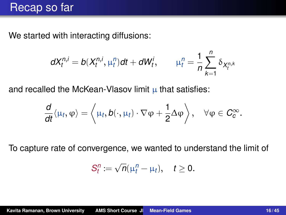# Recap so far

We started with interacting diffusions:

$$
dX_t^{n,i}=b(X_t^{n,i},\mu_t^n)dt+dW_t^i, \qquad \mu_t^n=\frac{1}{n}\sum_{k=1}^n \delta_{X_t^{n,k}}
$$

and recalled the McKean-Vlasov limit  $\mu$  that satisfies:

$$
\frac{d}{dt}\langle \mu_t, \varphi \rangle = \left\langle \mu_t, b(\cdot, \mu_t) \cdot \nabla \varphi + \frac{1}{2} \Delta \varphi \right\rangle, \quad \forall \varphi \in C_c^{\infty}.
$$

To capture rate of convergence, we wanted to understand the limit of

$$
S_t^n := \sqrt{n}(\mu_t^n - \mu_t), \quad t \geq 0.
$$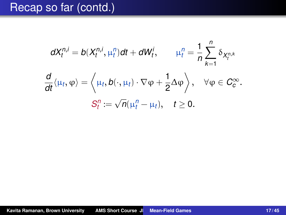## Recap so far (contd.)

$$
dX_t^{n,i} = b(X_t^{n,i}, \mu_t^n)dt + dW_t^i, \qquad \mu_t^n = \frac{1}{n}\sum_{k=1}^n \delta_{X_t^{n,k}}
$$

$$
\frac{d}{dt}\langle \mu_t, \varphi \rangle = \left\langle \mu_t, b(\cdot, \mu_t) \cdot \nabla \varphi + \frac{1}{2}\Delta \varphi \right\rangle, \quad \forall \varphi \in C_c^{\infty}.
$$

$$
S_t^n := \sqrt{n}(\mu_t^n - \mu_t), \quad t \ge 0.
$$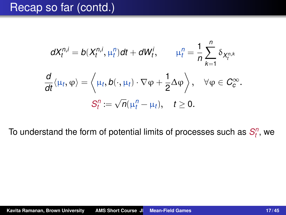## Recap so far (contd.)

$$
dX_t^{n,i} = b(X_t^{n,i}, \mu_t^n)dt + dW_t^i, \qquad \mu_t^n = \frac{1}{n}\sum_{k=1}^n \delta_{X_t^{n,k}}
$$

$$
\frac{d}{dt}\langle \mu_t, \varphi \rangle = \left\langle \mu_t, b(\cdot, \mu_t) \cdot \nabla \varphi + \frac{1}{2}\Delta \varphi \right\rangle, \quad \forall \varphi \in C_c^{\infty}.
$$

$$
S_t^n := \sqrt{n}(\mu_t^n - \mu_t), \quad t \ge 0.
$$

To understand the form of potential limits of processes such as  $S_t^n$ , we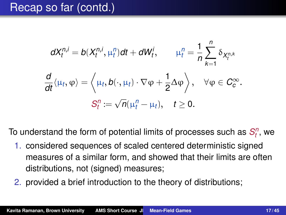# Recap so far (contd.)

$$
dX_t^{n,i} = b(X_t^{n,i}, \mu_t^n)dt + dW_t^i, \qquad \mu_t^n = \frac{1}{n}\sum_{k=1}^n \delta_{X_t^{n,k}}
$$

$$
\frac{d}{dt}\langle \mu_t, \varphi \rangle = \left\langle \mu_t, b(\cdot, \mu_t) \cdot \nabla \varphi + \frac{1}{2}\Delta \varphi \right\rangle, \quad \forall \varphi \in C_c^{\infty}.
$$

$$
S_t^n := \sqrt{n}(\mu_t^n - \mu_t), \quad t \ge 0.
$$

To understand the form of potential limits of processes such as  $S_t^n$ , we

- 1. considered sequences of scaled centered deterministic signed measures of a similar form, and showed that their limits are often distributions, not (signed) measures;
- 2. provided a brief introduction to the theory of distributions;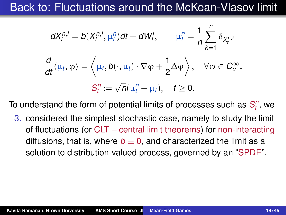## Back to: Fluctuations around the McKean-Vlasov limit

$$
dX_t^{n,i} = b(X_t^{n,i}, \mu_t^n)dt + dW_t^i, \qquad \mu_t^n = \frac{1}{n}\sum_{k=1}^n \delta_{X_t^{n,k}}
$$

$$
\frac{d}{dt}\langle \mu_t, \varphi \rangle = \left\langle \mu_t, b(\cdot, \mu_t) \cdot \nabla \varphi + \frac{1}{2}\Delta \varphi \right\rangle, \quad \forall \varphi \in C_c^{\infty}.
$$

$$
S_t^n := \sqrt{n}(\mu_t^n - \mu_t), \quad t \ge 0.
$$

To understand the form of potential limits of processes such as  $S_t^n$ , we

3. considered the simplest stochastic case, namely to study the limit of fluctuations (or CLT – central limit theorems) for non-interacting diffusions, that is, where  $b \equiv 0$ , and characterized the limit as a solution to distribution-valued process, governed by an "SPDE".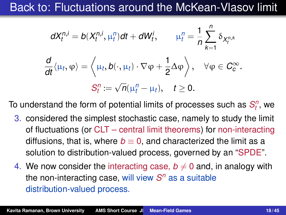### Back to: Fluctuations around the McKean-Vlasov limit

$$
dX_t^{n,i} = b(X_t^{n,i}, \mu_t^n)dt + dW_t^i, \qquad \mu_t^n = \frac{1}{n}\sum_{k=1}^n \delta_{X_t^{n,k}}
$$

$$
\frac{d}{dt}\langle \mu_t, \varphi \rangle = \left\langle \mu_t, b(\cdot, \mu_t) \cdot \nabla \varphi + \frac{1}{2}\Delta \varphi \right\rangle, \quad \forall \varphi \in C_c^{\infty}.
$$

$$
S_t^n := \sqrt{n}(\mu_t^n - \mu_t), \quad t \ge 0.
$$

To understand the form of potential limits of processes such as  $S_t^n$ , we

- 3. considered the simplest stochastic case, namely to study the limit of fluctuations (or CLT – central limit theorems) for non-interacting diffusions, that is, where  $b \equiv 0$ , and characterized the limit as a solution to distribution-valued process, governed by an "SPDE".
- 4. We now consider the interacting case,  $b \neq 0$  and, in analogy with the non-interacting case, will view *S <sup>n</sup>* as a suitable distribution-valued process.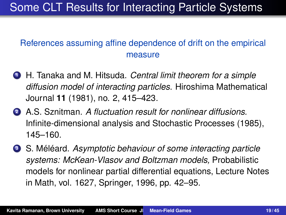#### References assuming affine dependence of drift on the empirical measure

- **<sup>1</sup>** H. Tanaka and M. Hitsuda. *Central limit theorem for a simple diffusion model of interacting particles*. Hiroshima Mathematical Journal **11** (1981), no. 2, 415–423.
- **<sup>2</sup>** A.S. Sznitman. *A fluctuation result for nonlinear diffusions.* Infinite-dimensional analysis and Stochastic Processes (1985), 145–160.
- **<sup>3</sup>** S. Méléard. *Asymptotic behaviour of some interacting particle systems: McKean-Vlasov and Boltzman models,* Probabilistic models for nonlinear partial differential equations, Lecture Notes in Math, vol. 1627, Springer, 1996, pp. 42–95.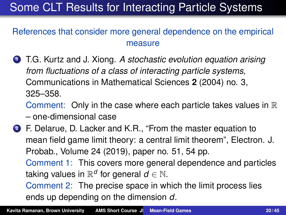# Some CLT Results for Interacting Particle Systems

#### References that consider more general dependence on the empirical measure

**<sup>1</sup>** T.G. Kurtz and J. Xiong. *A stochastic evolution equation arising from fluctuations of a class of interacting particle systems,* Communications in Mathematical Sciences **2** (2004) no. 3, 325–358.

Comment: Only in the case where each particle takes values in  $\mathbb R$ – one-dimensional case

**<sup>2</sup>** F. Delarue, D. Lacker and K.R., "From the master equation to mean field game limit theory: a central limit theorem", Electron. J. Probab., Volume 24 (2019), paper no. 51, 54 pp.

Comment 1: This covers more general dependence and particles taking values in  $\mathbb{R}^d$  for general  $d\in\mathbb{N}.$ 

Comment 2: The precise space in which the limit process lies ends up depending on the dimension *d*.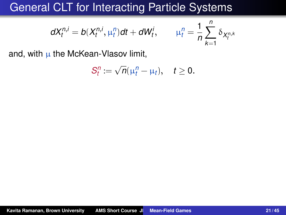## General CLT for Interacting Particle Systems

$$
dX_t^{n,i}=b(X_t^{n,i},\mu_t^n)dt+dW_t^i, \qquad \mu_t^n=\frac{1}{n}\sum_{k=1}^n \delta_{X_t^{n,k}}
$$

and, with  $\mu$  the McKean-Vlasov limit,

$$
S_t^n := \sqrt{n}(\mu_t^n - \mu_t), \quad t \geq 0.
$$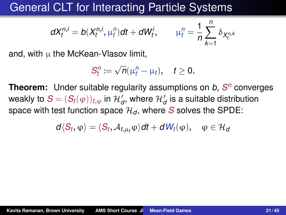### General CLT for Interacting Particle Systems

$$
dX_t^{n,i}=b(X_t^{n,i},\mu_t^n)dt+dW_t^i, \qquad \mu_t^n=\frac{1}{n}\sum_{k=1}^n \delta_{X_t^{n,k}}
$$

and, with  $\mu$  the McKean-Vlasov limit.

$$
S_t^n := \sqrt{n}(\mu_t^n - \mu_t), \quad t \ge 0.
$$

**Theorem:** Under suitable regularity assumptions on *b*, *S <sup>n</sup>* converges weakly to  $\mathcal{S} = ( \mathcal{S}_t(\varphi) )_{t,\varphi}$  in  $\mathcal{H}^{\prime}_{\mathcal{d}}$ , where  $\mathcal{H}^{\prime}_{\mathcal{d}}$  is a suitable distribution space with test function space  $\mathcal{H}_d$ , where *S* solves the SPDE:

$$
\textit{d} \langle \textit{S}_t, \phi \rangle = \langle \textit{S}_t, \mathcal{A}_{t,\mu_t} \phi \rangle \textit{dt} + \textit{d} \textit{W}_t(\phi), \quad \phi \in \mathcal{H}_\textit{d}
$$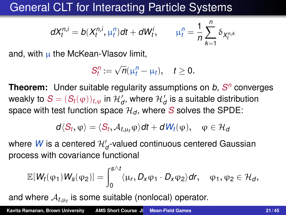# General CLT for Interacting Particle Systems

$$
dX_t^{n,i} = b(X_t^{n,i}, \mu_t^n)dt + dW_t^i, \qquad \mu_t^n = \frac{1}{n}\sum_{k=1}^n \delta_{X_t^{n,k}}
$$

and, with  $\mu$  the McKean-Vlasov limit,

$$
S_t^n := \sqrt{n}(\mu_t^n - \mu_t), \quad t \ge 0.
$$

**Theorem:** Under suitable regularity assumptions on *b*, *S <sup>n</sup>* converges weakly to  $\mathcal{S} = ( \mathcal{S}_t(\varphi) )_{t,\varphi}$  in  $\mathcal{H}^{\prime}_{\mathcal{d}}$ , where  $\mathcal{H}^{\prime}_{\mathcal{d}}$  is a suitable distribution space with test function space  $\mathcal{H}_d$ , where *S* solves the SPDE:

$$
d\langle S_t, \phi \rangle = \langle S_t, \mathcal{A}_{t,\mu_t} \phi \rangle dt + dW_t(\phi), \quad \phi \in \mathcal{H}_d
$$

where  $\,$  is a centered  $\mathcal{H}'_d$ -valued continuous centered Gaussian process with covariance functional

$$
\mathbb{E}[W_t(\varphi_1)W_s(\varphi_2)]=\int_0^{s\wedge t}\langle\mu_r,D_x\varphi_1\cdot D_x\varphi_2\rangle dr, \quad \varphi_1,\varphi_2\in \mathcal{H}_d,
$$

and where  $\mathcal{A}_{t,\mu_t}$  is some suitable (nonlocal) operator.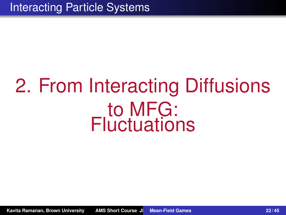# 2. From Interacting Diffusions to MFG: **Fluctuations**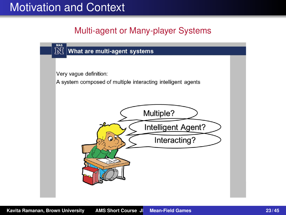### Motivation and Context

#### Multi-agent or Many-player Systems

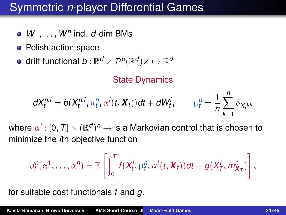## Symmetric *n*-player Differential Games

- $W^1, \ldots, W^n$  ind. *d*-dim BMs
- Polish action space
- drift functional  $b : \mathbb{R}^d \times \mathcal{P}^p(\mathbb{R}^d) \times \mapsto \mathbb{R}^d$

#### State Dynamics

$$
dX_t^{n,i} = b(X_t^{n,i}, \mu_t^n, \alpha^i(t, \boldsymbol{X}_t))dt + dW_t^i, \qquad \mu_t^n = \frac{1}{n}\sum_{k=1}^n \delta_{X_t^{n,k}}
$$

where  $\alpha^j:[0,T]\times (\mathbb{R}^d)^n\to$  is a Markovian control that is chosen to the internal order of the state of the state of the state of the state of the state of the state of the state of the state of the state of the state o minimize the *i*th objective function

$$
J_l^n(\alpha^1,\ldots,\alpha^n)=\mathbb{E}\left[\int_0^Tf(X_t^i,\mu_t^n,\alpha^i(t,\boldsymbol{X}_t))dt+g(X_T^i,m_{\boldsymbol{X}_T}^n)\right],
$$

for suitable cost functionals *f* and *g*.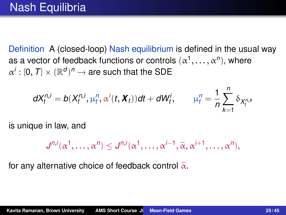Definition A (closed-loop) Nash equilibrium is defined in the usual way as a vector of feedback functions or controls  $(\alpha^1,\ldots,\alpha^n)$ , where  $\alpha^j : [0, T] \times (\mathbb{R}^d)^n \rightarrow \text{are such that the SDE}$ 

$$
dX_t^{n,i} = b(X_t^{n,i}, \mu_t^n, \alpha^i(t, \boldsymbol{X}_t))dt + dW_t^i, \qquad \mu_t^n = \frac{1}{n}\sum_{k=1}^n \delta_{X_t^{n,k}}
$$

is unique in law, and

$$
J^{n,i}(\alpha^1,\ldots,\alpha^n) \leq J^{n,i}(\alpha^1,\ldots,\alpha^{i-1},\widetilde{\alpha},\alpha^{i+1},\ldots,\alpha^n),
$$

for any alternative choice of feedback control  $\tilde{\alpha}$ .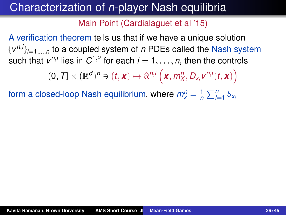## Characterization of *n*-player Nash equilibria

Main Point (Cardialaguet et al '15)

A verification theorem tells us that if we have a unique solution {*v n*,*i* }*i*=1,...,*<sup>n</sup>* to a coupled system of *n* PDEs called the Nash system such that  $v^{n,i}$  lies in  $C^{1,2}$  for each  $i=1,\ldots,n,$  then the controls

$$
(\mathbf{0},\,\mathcal{T}]\times(\mathbb{R}^d)^n\ni (t,\mathbf{x})\mapsto\hat{\alpha}^{n,i}\left(\mathbf{x},m_X^n,D_{x_i}v^{n,i}(t,\mathbf{x})\right)
$$

form a closed-loop Nash equilibrium, where  $m_{\chi}^n = \frac{1}{n}$  $\frac{1}{n}\sum_{i=1}^n \delta_{x_i}$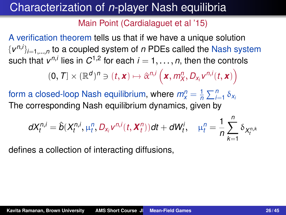## Characterization of *n*-player Nash equilibria

Main Point (Cardialaguet et al '15)

A verification theorem tells us that if we have a unique solution {*v n*,*i* }*i*=1,...,*<sup>n</sup>* to a coupled system of *n* PDEs called the Nash system such that  $v^{n,i}$  lies in  $C^{1,2}$  for each  $i=1,\ldots,n,$  then the controls

$$
(\mathbf{0},\,\mathcal{T}]\times(\mathbb{R}^d)^n\ni (t,\mathbf{x})\mapsto\hat{\alpha}^{n,i}\left(\mathbf{x},m_X^n,D_{x_i}v^{n,i}(t,\mathbf{x})\right)
$$

form a closed-loop Nash equilibrium, where  $m_{\chi}^n = \frac{1}{n}$  $\frac{1}{n}\sum_{i=1}^n \delta_{x_i}$ The corresponding Nash equilibrium dynamics, given by

$$
dX_t^{n,i} = \hat{b}(X_t^{n,i}, \mu_t^n, D_{x_i}v^{n,i}(t, \boldsymbol{X}_t^n))dt + dW_t^i, \quad \mu_t^n = \frac{1}{n}\sum_{k=1}^n \delta_{X_t^{n,k}}
$$

defines a collection of interacting diffusions,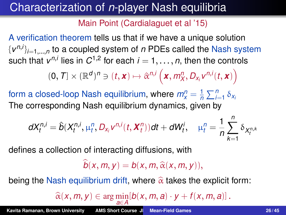# Characterization of *n*-player Nash equilibria

Main Point (Cardialaguet et al '15)

A verification theorem tells us that if we have a unique solution {*v n*,*i* }*i*=1,...,*<sup>n</sup>* to a coupled system of *n* PDEs called the Nash system such that  $v^{n,i}$  lies in  $C^{1,2}$  for each  $i=1,\ldots,n,$  then the controls

$$
(\mathbf{0},\,\mathcal{T}]\times(\mathbb{R}^d)^n\ni (t,\mathbf{x})\mapsto\hat{\alpha}^{n,i}\left(\mathbf{x},m_X^n,D_{x_i}v^{n,i}(t,\mathbf{x})\right)
$$

form a closed-loop Nash equilibrium, where  $m_{\chi}^n = \frac{1}{n}$  $\frac{1}{n}\sum_{i=1}^n \delta_{x_i}$ The corresponding Nash equilibrium dynamics, given by

$$
dX_t^{n,i} = \hat{b}(X_t^{n,i}, \mu_t^n, D_{x_i}v^{n,i}(t, \boldsymbol{X}_t^n))dt + dW_t^i, \quad \mu_t^n = \frac{1}{n}\sum_{k=1}^n \delta_{X_t^{n,k}}
$$

defines a collection of interacting diffusions, with

 $\hat{b}(x, m, v) = b(x, m, \hat{\alpha}(x, m, v)),$ 

being the Nash equilibrium drift, where  $\hat{\alpha}$  takes the explicit form:

 $\widehat{\alpha}(x, m, y) \in \arg \min_{a \in A} [b(x, m, a) \cdot y + f(x, m, a)]$ .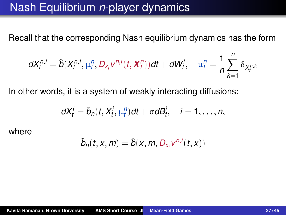### Nash Equilibrium *n*-player dynamics

Recall that the corresponding Nash equilibrium dynamics has the form

$$
dX_t^{n,i} = \hat{b}(X_t^{n,i}, \mu_t^n, D_{x_i} v^{n,i}(t, \boldsymbol{X}_t^n))dt + dW_t^i, \quad \mu_t^n = \frac{1}{n}\sum_{k=1}^n \delta_{X_t^{n,k}}
$$

In other words, it is a system of weakly interacting diffusions:

$$
dX_t^i = \tilde{b}_n(t, X_t^i, \mu_t^n) dt + \sigma dB_t^i, \quad i = 1, \ldots, n,
$$

where

$$
\tilde{b}_n(t, x, m) = \hat{b}(x, m, D_{x_i} v^{n,i}(t, x))
$$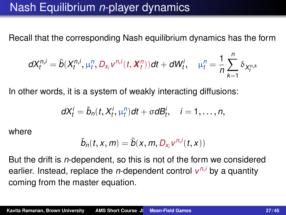## Nash Equilibrium *n*-player dynamics

Recall that the corresponding Nash equilibrium dynamics has the form

$$
dX_t^{n,i} = \hat{b}(X_t^{n,i}, \mu_t^n, D_{x_i} v^{n,i}(t, \boldsymbol{X}_t^n))dt + dW_t^i, \quad \mu_t^n = \frac{1}{n}\sum_{k=1}^n \delta_{X_t^{n,k}}
$$

In other words, it is a system of weakly interacting diffusions:

$$
dX_t^i = \tilde{b}_n(t, X_t^i, \mu_t^n) dt + \sigma dB_t^i, \quad i = 1, \ldots, n,
$$

where

$$
\tilde{b}_n(t, x, m) = \hat{b}(x, m, D_{x_i} v^{n,i}(t, x))
$$

But the drift is *n*-dependent, so this is not of the form we considered earlier. Instead, replace the *n*-dependent control *v <sup>n</sup>*,*<sup>i</sup>* by a quantity coming from the master equation.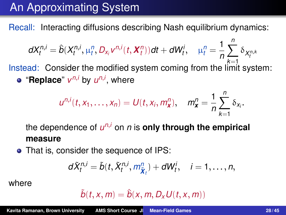# An Approximating System

Recall: Interacting diffusions describing Nash equilibrium dynamics:

$$
dX_t^{n,i} = \hat{b}(X_t^{n,i}, \mu_t^n, D_{x_i}v^{n,i}(t, \boldsymbol{X}_t^n))dt + dW_t^i, \quad \mu_t^n = \frac{1}{n}\sum_{k=1}^n \delta_{X_t^{n,k}}
$$
  
Instead: Consider the modified system coming from the limit system:

"**Replace**"  $v^{n,i}$  by  $u^{n,i}$ , where

$$
u^{n,i}(t,x_1,\ldots,x_n) = U(t,x_i,m_x^n), \quad m_x^n = \frac{1}{n}\sum_{k=1}^n \delta_{x_i}.
$$

the dependence of *u <sup>n</sup>*,*<sup>i</sup>* on *n* is **only through the empirical measure**

• That is, consider the sequence of IPS:

$$
d\tilde{X}^{n,i}_t=\tilde{b}(t,\tilde{X}^{n,i}_t,m_{\tilde{X}_t}^n)+dW_t^i, \quad i=1,\ldots,n,
$$

where

$$
\tilde{b}(t,x,m) = \hat{b}(x,m,D_xU(t,x,m))
$$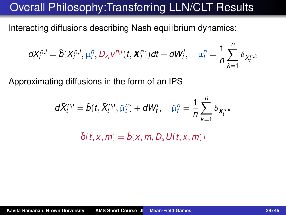## Overall Philosophy:Transferring LLN/CLT Results

Interacting diffusions describing Nash equilibrium dynamics:

$$
dX_t^{n,i} = \hat{b}(X_t^{n,i}, \mu_t^n, D_{x_i} v^{n,i}(t, \boldsymbol{X}_t^n))dt + dW_t^i, \quad \mu_t^n = \frac{1}{n}\sum_{k=1}^n \delta_{X_t^{n,k}}
$$

Approximating diffusions in the form of an IPS

$$
d\tilde{X}_t^{n,i} = \tilde{b}(t,\tilde{X}_t^{n,i},\tilde{\mu}_t^n) + dW_t^i, \quad \tilde{\mu}_t^n = \frac{1}{n}\sum_{k=1}^n \delta_{\tilde{X}_t^{n,k}}
$$

 $\tilde{b}(t, x, m) = \hat{b}(x, m, D_xU(t, x, m))$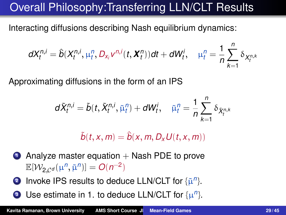# Overall Philosophy:Transferring LLN/CLT Results

Interacting diffusions describing Nash equilibrium dynamics:

$$
dX_t^{n,i} = \hat{b}(X_t^{n,i}, \mu_t^n, D_{x_i}v^{n,i}(t, \boldsymbol{X}_t^n))dt + dW_t^i, \quad \mu_t^n = \frac{1}{n}\sum_{k=1}^n \delta_{X_t^{n,k}}
$$

Approximating diffusions in the form of an IPS

$$
d\tilde{X}_t^{n,i} = \tilde{b}(t,\tilde{X}_t^{n,i},\tilde{\mu}_t^n) + dW_t^i, \quad \tilde{\mu}_t^n = \frac{1}{n}\sum_{k=1}^n \delta_{\tilde{X}_t^{n,k}}
$$

 $\tilde{b}(t, x, m) = \hat{b}(x, m, D_xU(t, x, m))$ 

- **1** Analyze master equation  $+$  Nash PDE to prove  $\mathbb{E}[W_{2,\mathcal{C}^d}(\mu^n, \tilde{\mu}^n)] = O(n^{-2})$
- **2** Invoke IPS results to deduce LLN/CLT for  $\{\tilde{\mu}^n\}$ .
- **3** Use estimate in 1. to deduce LLN/CLT for  $\{\mu^n\}$ .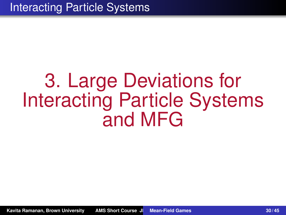# 3. Large Deviations for Interacting Particle Systems and MFG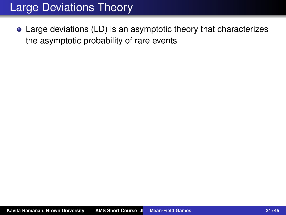Large deviations (LD) is an asymptotic theory that characterizes the asymptotic probability of rare events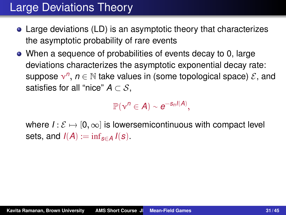- Large deviations (LD) is an asymptotic theory that characterizes the asymptotic probability of rare events
- When a sequence of probabilities of events decay to 0, large deviations characterizes the asymptotic exponential decay rate: suppose  $v^n$ ,  $n \in \mathbb{N}$  take values in (some topological space)  $\mathcal{E}$ , and satisfies for all "nice"  $A \subset S$ .

 $\mathbb{P}(\nu^n \in A) \sim e^{-S_n I(A)},$ 

where  $I: \mathcal{E} \mapsto [0, \infty]$  is lowersemicontinuous with compact level sets, and  $I(A) := \inf_{s \in A} I(s)$ .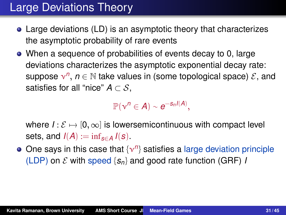- Large deviations (LD) is an asymptotic theory that characterizes the asymptotic probability of rare events
- When a sequence of probabilities of events decay to 0, large deviations characterizes the asymptotic exponential decay rate: suppose  $v^n$ ,  $n \in \mathbb{N}$  take values in (some topological space)  $\mathcal{E}$ , and satisfies for all "nice"  $A \subset S$ .

 $\mathbb{P}(\mathbf{\nu}^n \in A) \sim e^{-\mathcal{S}_n I(A)},$ 

where  $I: \mathcal{E} \mapsto [0, \infty]$  is lowersemicontinuous with compact level sets, and  $I(A) := \inf_{s \in A} I(s)$ .

One says in this case that  $\{v^n\}$  satisfies a large deviation principle (LDP) on  $\mathcal E$  with speed  $\{s_n\}$  and good rate function (GRF) *I*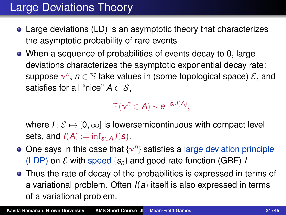- Large deviations (LD) is an asymptotic theory that characterizes the asymptotic probability of rare events
- When a sequence of probabilities of events decay to 0, large deviations characterizes the asymptotic exponential decay rate: suppose  $v^n$ ,  $n \in \mathbb{N}$  take values in (some topological space)  $\mathcal{E}$ , and satisfies for all "nice"  $A \subset S$ .

 $\mathbb{P}(\mathbf{\nu}^n \in A) \sim e^{-\mathcal{S}_n I(A)},$ 

where  $I: \mathcal{E} \mapsto [0, \infty]$  is lowersemicontinuous with compact level sets, and  $I(A) := \inf_{s \in A} I(s)$ .

- One says in this case that  $\{v^n\}$  satisfies a large deviation principle (LDP) on  $\mathcal E$  with speed  $\{s_n\}$  and good rate function (GRF) *I*
- Thus the rate of decay of the probabilities is expressed in terms of a variational problem. Often *I*(*a*) itself is also expressed in terms of a variational problem.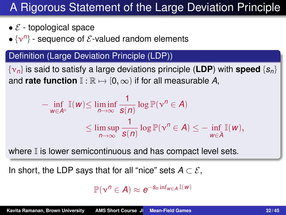# A Rigorous Statement of the Large Deviation Principle

- $\mathcal{E}$  topological space
- $\bullet$   $\{\nu^n\}$  sequence of  $\mathcal E$ -valued random elements

#### Definition (Large Deviation Principle (LDP))

{ν*n*} is said to satisfy a large deviations principle (**LDP**) with **speed** {*sn*} and **rate function**  $\mathbb{I}: \mathbb{R} \mapsto [0, \infty)$  if for all measurable *A*,

$$
-\inf_{w \in A^{\circ}} \mathbb{I}(w) \leq \liminf_{n \to \infty} \frac{1}{s(n)} \log \mathbb{P}(\nu^n \in A)
$$
  
\$\leq\$  $\limsup_{n \to \infty} \frac{1}{s(n)} \log \mathbb{P}(\nu^n \in A) \leq -\inf_{w \in \overline{A}} \mathbb{I}(w),$ 

where I is lower semicontinuous and has compact level sets.

In short, the LDP says that for all "nice" sets  $A \subset \mathcal{E}$ ,

$$
\mathbb{P}(\nu^n \in A) \approx e^{-s_n \inf_{w \in A} \mathbb{I}(w)}
$$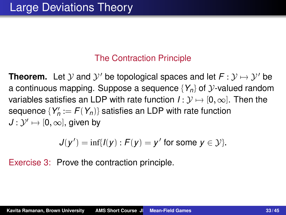#### The Contraction Principle

**Theorem.** Let  $Y$  and  $Y'$  be topological spaces and let  $F: Y \mapsto Y'$  be a partiausus magnetic Currence a sequence  $(X)$  of  $Y$  when the problem a continuous mapping. Suppose a sequence  ${Y_n}$  of  $\mathcal Y$ -valued random variables satisfies an LDP with rate function  $I: \mathcal{Y} \mapsto [0, \infty]$ . Then the sequence  $\{Y'_n := F(Y_n)\}$  satisfies an LDP with rate function  $J: \mathcal{Y}' \mapsto [0,\infty],$  given by

$$
J(y') = \inf\{I(y) : F(y) = y' \text{ for some } y \in \mathcal{Y}\}.
$$

Exercise 3: Prove the contraction principle.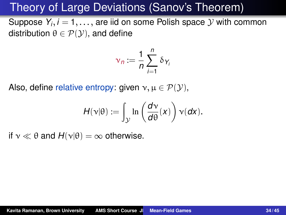# Theory of Large Deviations (Sanov's Theorem)

Suppose  $Y_i, i=1,\ldots,$  are iid on some Polish space  ${\mathcal{Y}}$  with common distribution  $\theta \in \mathcal{P}(\mathcal{Y})$ , and define

$$
\nu_n := \frac{1}{n} \sum_{i=1}^n \delta_{Y_i}
$$

Also, define relative entropy: given  $v, \mu \in \mathcal{P}(\mathcal{Y})$ ,

$$
H(\nu|\theta) := \int_{\mathcal{Y}} \ln\left(\frac{d\nu}{d\theta}(x)\right) \nu(dx).
$$

if  $v \ll \theta$  and  $H(v|\theta) = \infty$  otherwise.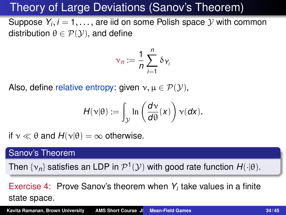# Theory of Large Deviations (Sanov's Theorem)

Suppose  $Y_i, i=1,\ldots,$  are iid on some Polish space  ${\mathcal{Y}}$  with common distribution  $\theta \in \mathcal{P}(\mathcal{Y})$ , and define

$$
\nu_n := \frac{1}{n} \sum_{i=1}^n \delta_{Y_i}
$$

Also, define relative entropy: given  $v, \mu \in \mathcal{P}(\mathcal{Y})$ ,

$$
H(\mathsf{v}|\theta) := \int_{\mathcal{Y}} \ln\left(\frac{d\mathsf{v}}{d\theta}(x)\right) \mathsf{v}(dx).
$$

if  $v \ll \theta$  and  $H(v|\theta) = \infty$  otherwise.

#### Sanov's Theorem

Then  $\{\mathsf v_n\}$  satisfies an LDP in  $\mathcal P^1(\mathcal Y)$  with good rate function  $H(\cdot|\theta).$ 

Exercise 4: Prove Sanov's theorem when *Y<sup>i</sup>* take values in a finite state space.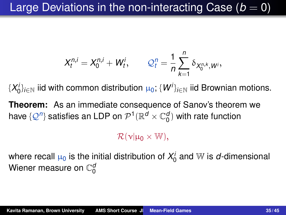# Large Deviations in the non-interacting Case  $(b = 0)$

$$
X_t^{n,i} = X_0^{n,i} + W_t^i, \qquad \mathcal{Q}_t^n = \frac{1}{n} \sum_{k=1}^n \delta_{X_0^{n,k}, W^i},
$$

 $\{X_0^i\}_{i\in\mathbb{N}}$  iid with common distribution  $\mu_0$ ;  $\{W^i\}_{i\in\mathbb{N}}$  iid Brownian motions.

**Theorem:** As an immediate consequence of Sanov's theorem we have  $\{\mathcal{Q}^\eta\}$  satisfies an LDP on  $\mathcal{P}^1(\mathbb{R}^d\times\mathbb{C}^d_0)$  with rate function

#### $\mathcal{R}(\nu|\mathfrak{u}_{n}\times\mathbb{W}).$

where recall  $\mu_0$  is the initial distribution of  $X^i_0$  and  $\mathbb W$  is  $d$ -dimensional Wiener measure on C *d* 0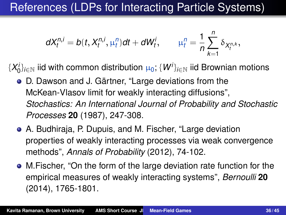## References (LDPs for Interacting Particle Systems)

$$
dX_t^{n,i}=b(t,X_t^{n,i},\mu_t^n)dt+dW_t^i, \qquad \mu_t^n=\frac{1}{n}\sum_{k=1}^n \delta_{X_t^{n,k}},
$$

 $\{X_0^i\}_{i\in\mathbb{N}}$  iid with common distribution  $\mu_0$ ;  $\{W^i\}_{i\in\mathbb{N}}$  iid Brownian motions

- D. Dawson and J. Gärtner, "Large deviations from the McKean-Vlasov limit for weakly interacting diffusions", *Stochastics: An International Journal of Probability and Stochastic Processes* **20** (1987), 247-308.
- A. Budhiraja, P. Dupuis, and M. Fischer, "Large deviation properties of weakly interacting processes via weak convergence methods", *Annals of Probability* (2012), 74-102.
- M.Fischer, "On the form of the large deviation rate function for the empirical measures of weakly interacting systems", *Bernoulli* **20** (2014), 1765-1801.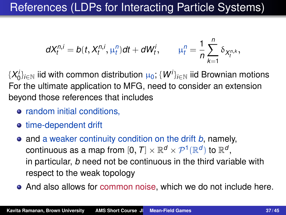# References (LDPs for Interacting Particle Systems)

$$
dX_t^{n,i}=b(t,X_t^{n,i},\mu_t^n)dt+dW_t^i, \qquad \mu_t^n=\frac{1}{n}\sum_{k=1}^n \delta_{X_t^{n,k}},
$$

 $\{X_0^i\}_{i\in\mathbb{N}}$  iid with common distribution  $\mu_0$ ;  $\{W^i\}_{i\in\mathbb{N}}$  iid Brownian motions For the ultimate application to MFG, need to consider an extension beyond those references that includes

- **•** random initial conditions,
- **•** time-dependent drift
- and a weaker continuity condition on the drift *b*, namely, continuous as a map from  $[0,T]\times\mathbb{R}^d\times \mathcal{P}^1(\mathbb{R}^d)$  to  $\mathbb{R}^d,$ in particular, *b* need not be continuous in the third variable with respect to the weak topology
- And also allows for common noise, which we do not include here.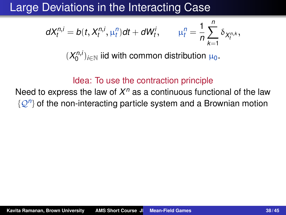$$
dX_t^{n,i}=b(t,X_t^{n,i},\mu_t^n)dt+dW_t^i, \qquad \mu_t^n=\frac{1}{n}\sum_{k=1}^n \delta_{X_t^{n,k}},
$$

 $(X_0^{n,i})_{i\in\mathbb{N}}$  iid with common distribution  $\mu_0$ .

#### Idea: To use the contraction principle

Need to express the law of *X <sup>n</sup>* as a continuous functional of the law {Q*<sup>n</sup>* } of the non-interacting particle system and a Brownian motion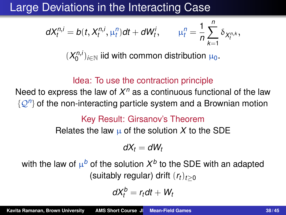$$
dX_t^{n,i}=b(t,X_t^{n,i},\mu_t^n)dt+dW_t^i, \qquad \mu_t^n=\frac{1}{n}\sum_{k=1}^n \delta_{X_t^{n,k}},
$$

 $(X_0^{n,i})_{i\in\mathbb{N}}$  iid with common distribution  $\mu_0$ .

#### Idea: To use the contraction principle

Need to express the law of *X <sup>n</sup>* as a continuous functional of the law {Q*<sup>n</sup>* } of the non-interacting particle system and a Brownian motion

Key Result: Girsanov's Theorem

Relates the law  $\mu$  of the solution X to the SDE

$$
dX_t = dW_t
$$

with the law of  $\mu^b$  of the solution  $X^b$  to the SDE with an adapted (suitably regular) drift  $(r_t)_{t>0}$ 

$$
dX_t^b = r_t dt + W_t
$$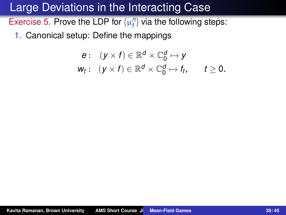Exercise 5. Prove the LDP for  $\{\mu_l^n\}$  via the following steps:

1. Canonical setup: Define the mappings

<span id="page-68-0"></span>
$$
e: (y \times f) \in \mathbb{R}^d \times \mathbb{C}_0^d \mapsto y
$$
  

$$
w_t: (y \times f) \in \mathbb{R}^d \times \mathbb{C}_0^d \mapsto f_t, \quad t \ge 0.
$$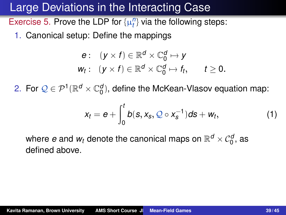Exercise 5. Prove the LDP for  $\{\mu_l^n\}$  via the following steps:

1. Canonical setup: Define the mappings

$$
e: (y \times f) \in \mathbb{R}^d \times \mathbb{C}_0^d \mapsto y
$$
  

$$
w_t: (y \times f) \in \mathbb{R}^d \times \mathbb{C}_0^d \mapsto f_t, \quad t \ge 0.
$$

2. For  $\mathcal{Q} \in \mathcal{P}^1(\mathbb{R}^d \times \mathbb{C}_0^d)$ , define the McKean-Vlasov equation map:

$$
x_t = e + \int_0^t b(s, x_s, \mathcal{Q} \circ x_s^{-1}) ds + w_t, \qquad (1)
$$

where  $e$  and  $w_t$  denote the canonical maps on  $\mathbb{R}^d\times \mathcal{C}^d_0,$  as defined above.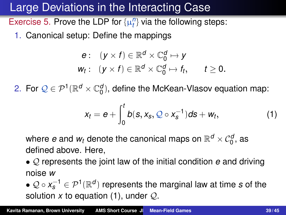Exercise 5. Prove the LDP for  $\{\mu_l^n\}$  via the following steps:

1. Canonical setup: Define the mappings

$$
e: (y \times f) \in \mathbb{R}^d \times \mathbb{C}_0^d \mapsto y
$$
  

$$
w_t: (y \times f) \in \mathbb{R}^d \times \mathbb{C}_0^d \mapsto f_t, \quad t \ge 0.
$$

2. For  $\mathcal{Q} \in \mathcal{P}^1(\mathbb{R}^d \times \mathbb{C}_0^d)$ , define the McKean-Vlasov equation map:

$$
x_t = e + \int_0^t b(s, x_s, \mathcal{Q} \circ x_s^{-1}) ds + w_t, \qquad (1)
$$

where  $e$  and  $w_t$  denote the canonical maps on  $\mathbb{R}^d\times \mathcal{C}^d_0,$  as defined above. Here,

- Q represents the joint law of the initial condition *e* and driving noise *w*
- $\bullet$  *Q* ∘  $x_{\mathcal{S}}^{-1}$  ∈  $\mathcal{P}^{1}(\mathbb{R}^{d})$  represents the marginal law at time *s* of the solution *x* to equation [\(1\)](#page-68-0), under Q.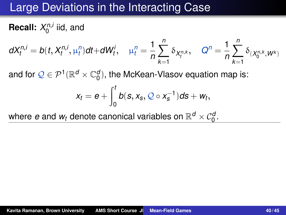# **Recall:**  $X_0^{n,i}$  iid, and

$$
dX_t^{n,i} = b(t, X_t^{n,i}, \mu_t^n)dt + dW_t^i, \quad \mu_t^n = \frac{1}{n}\sum_{k=1}^n \delta_{X_t^{n,k}}, \quad Q^n = \frac{1}{n}\sum_{k=1}^n \delta_{(X_0^{n,k}, W^k)}
$$

and for  $\mathcal{Q} \in \mathcal{P}^1(\mathbb{R}^d \times \mathbb{C}^d_0),$  the McKean-Vlasov equation map is:

$$
x_t = e + \int_0^t b(s, x_s, \mathcal{Q} \circ x_s^{-1}) ds + w_t,
$$

where  $e$  and  $w_t$  denote canonical variables on  $\mathbb{R}^d \times \mathcal{C}_0^d.$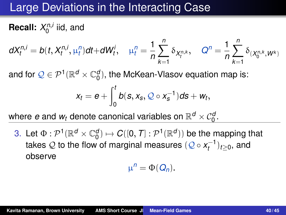### Large Deviations in the Interacting Case

# **Recall:**  $X_0^{n,i}$  iid, and

$$
dX_t^{n,i} = b(t, X_t^{n,i}, \mu_t^n)dt + dW_t^i, \quad \mu_t^n = \frac{1}{n}\sum_{k=1}^n \delta_{X_t^{n,k}}, \quad Q^n = \frac{1}{n}\sum_{k=1}^n \delta_{(X_0^{n,k}, W^k)}
$$

and for  $\mathcal{Q} \in \mathcal{P}^1(\mathbb{R}^d \times \mathbb{C}^d_0),$  the McKean-Vlasov equation map is:

$$
x_t = e + \int_0^t b(s, x_s, \mathcal{Q} \circ x_s^{-1}) ds + w_t,
$$

where  $e$  and  $w_t$  denote canonical variables on  $\mathbb{R}^d \times \mathcal{C}_0^d.$ 

3. Let  $\Phi : \mathcal{P}^1(\mathbb{R}^d \times \mathbb{C}^d) \mapsto C([0, T] : \mathcal{P}^1(\mathbb{R}^d))$  be the mapping that takes  $\mathcal Q$  to the flow of marginal measures  $(\mathcal Q \circ \mathsf x_t^{-1})_{t\geq 0}$ , and observe

$$
\mu^n = \Phi(Q_n).
$$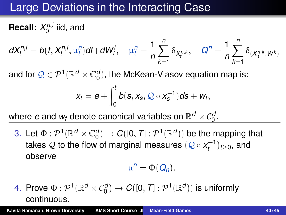## Large Deviations in the Interacting Case

# **Recall:**  $X_0^{n,i}$  iid, and

$$
dX_t^{n,i} = b(t, X_t^{n,i}, \mu_t^n)dt + dW_t^i, \quad \mu_t^n = \frac{1}{n}\sum_{k=1}^n \delta_{X_t^{n,k}}, \quad Q^n = \frac{1}{n}\sum_{k=1}^n \delta_{(X_0^{n,k}, W^k)}
$$

and for  $\mathcal{Q} \in \mathcal{P}^1(\mathbb{R}^d \times \mathbb{C}^d_0),$  the McKean-Vlasov equation map is:

$$
x_t = e + \int_0^t b(s, x_s, \mathcal{Q} \circ x_s^{-1}) ds + w_t,
$$

where  $e$  and  $w_t$  denote canonical variables on  $\mathbb{R}^d \times \mathcal{C}_0^d.$ 

3. Let  $\Phi : \mathcal{P}^1(\mathbb{R}^d \times \mathbb{C}^d) \mapsto C([0, T] : \mathcal{P}^1(\mathbb{R}^d))$  be the mapping that takes  $\mathcal Q$  to the flow of marginal measures  $(\mathcal Q \circ \mathsf x_t^{-1})_{t\geq 0}$ , and observe

$$
\mu^n = \Phi(Q_n).
$$

4. Prove  $\Phi: \mathcal{P}^1(\mathbb{R}^d \times \mathcal{C}_0^d) \mapsto \textit{C}([0,T]: \mathcal{P}^1(\mathbb{R}^d))$  is uniformly continuous.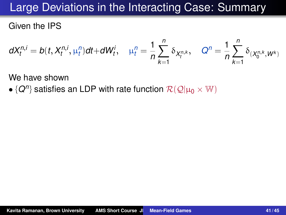## Large Deviations in the Interacting Case: Summary

Given the IPS

$$
dX_t^{n,i} = b(t, X_t^{n,i}, \mu_t^n)dt + dW_t^i, \quad \mu_t^n = \frac{1}{n}\sum_{k=1}^n \delta_{X_t^{n,k}}, \quad Q^n = \frac{1}{n}\sum_{k=1}^n \delta_{(X_0^{n,k}, W^k)}
$$

We have shown

 $\bullet$   $\{Q^n\}$  satisfies an LDP with rate function  $\mathcal{R}(\mathcal{Q}|\mu_0\times\mathbb{W})$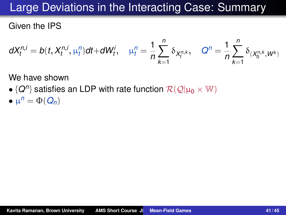## Large Deviations in the Interacting Case: Summary

Given the IPS

$$
dX_t^{n,i} = b(t, X_t^{n,i}, \mu_t^n)dt + dW_t^i, \quad \mu_t^n = \frac{1}{n}\sum_{k=1}^n \delta_{X_t^{n,k}}, \quad Q^n = \frac{1}{n}\sum_{k=1}^n \delta_{(X_0^{n,k}, W^k)}
$$

We have shown

- $\bullet$   $\{Q^n\}$  satisfies an LDP with rate function  $\mathcal{R}(\mathcal{Q}|\mu_0\times\mathbb{W})$
- $\mu^n = \Phi(Q_n)$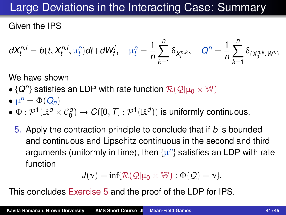# Large Deviations in the Interacting Case: Summary

Given the IPS

$$
dX_t^{n,i} = b(t, X_t^{n,i}, \mu_t^n)dt + dW_t^i, \quad \mu_t^n = \frac{1}{n}\sum_{k=1}^n \delta_{X_t^{n,k}}, \quad Q^n = \frac{1}{n}\sum_{k=1}^n \delta_{(X_0^{n,k}, W^k)}
$$

We have shown

- $\bullet$   $\{Q^n\}$  satisfies an LDP with rate function  $\mathcal{R}(\mathcal{Q}|\mu_0\times\mathbb{W})$
- $\mu^n = \Phi(Q_n)$
- $\bullet$   $\Phi: \mathcal{P}^1(\mathbb{R}^d \times \mathcal{C}_0^d) \mapsto \textit{C}([0,\textit{T}]: \mathcal{P}^1(\mathbb{R}^d))$  is uniformly continuous.
	- 5. Apply the contraction principle to conclude that if *b* is bounded and continuous and Lipschitz continuous in the second and third arguments (uniformly in time), then {µ *n* } satisfies an LDP with rate function

$$
J(\nu)=\inf\{\mathcal{R}(\mathcal{Q}|\mu_0\times\mathbb{W}):\Phi(\mathcal{Q})=\nu\}.
$$

This concludes Exercise 5 and the proof of the LDP for IPS.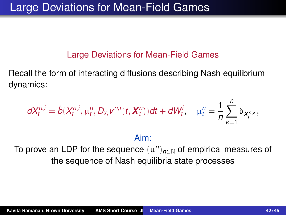#### Large Deviations for Mean-Field Games

Recall the form of interacting diffusions describing Nash equilibrium dynamics:

$$
dX_t^{n,i} = \hat{b}(X_t^{n,i}, \mu_t^n, D_{x_i} v^{n,i}(t, \boldsymbol{X}_t^n))dt + dW_t^i, \quad \mu_t^n = \frac{1}{n}\sum_{k=1}^n \delta_{X_t^{n,k}},
$$

#### Aim:

To prove an LDP for the sequence  $(\mu^n)_{n\in\mathbb{N}}$  of empirical measures of the sequence of Nash equilibria state processes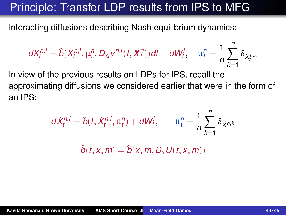### Principle: Transfer LDP results from IPS to MFG

Interacting diffusions describing Nash equilibrium dynamics:

$$
dX_t^{n,i} = \hat{b}(X_t^{n,i}, \mu_t^n, D_{x_i} v^{n,i}(t, \boldsymbol{X}_t^n))dt + dW_t^i, \quad \mu_t^n = \frac{1}{n}\sum_{k=1}^n \delta_{X_t^{n,k}}
$$

In view of the previous results on LDPs for IPS, recall the approximating diffusions we considered earlier that were in the form of an IPS:

$$
d\tilde{X}_t^{n,i} = \tilde{b}(t,\tilde{X}_t^{n,i},\tilde{\mu}_t^n) + dW_t^i, \qquad \tilde{\mu}_t^n = \frac{1}{n}\sum_{k=1}^n \delta_{\tilde{X}_t^{n,k}}
$$

 $\hat{b}(t, x, m) = \hat{b}(x, m, D_xU(t, x, m))$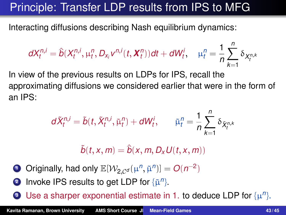## Principle: Transfer LDP results from IPS to MFG

Interacting diffusions describing Nash equilibrium dynamics:

$$
dX_t^{n,i} = \hat{b}(X_t^{n,i}, \mu_t^n, D_{x_i} v^{n,i}(t, \boldsymbol{X}_t^n))dt + dW_t^i, \quad \mu_t^n = \frac{1}{n}\sum_{k=1}^n \delta_{X_t^{n,k}}
$$

In view of the previous results on LDPs for IPS, recall the approximating diffusions we considered earlier that were in the form of an IPS:

$$
d\tilde{X}_t^{n,i} = \tilde{b}(t,\tilde{X}_t^{n,i},\tilde{\mu}_t^n) + dW_t^i, \qquad \tilde{\mu}_t^n = \frac{1}{n}\sum_{k=1}^n \delta_{\tilde{X}_t^{n,k}}
$$

$$
\tilde{b}(t, x, m) = \hat{b}(x, m, D_x U(t, x, m))
$$

- **1** Originally, had only  $\mathbb{E}[W_{2,\mathcal{C}^d}(\mu^n, \tilde{\mu}^n)] = O(n^{-2})$
- **2** Invoke IPS results to get LDP for  $\{\tilde{\mu}^n\}$ .

**3** Use a sharper exponential estimate in 1. to deduce LDP for  $\{\mu^n\}$ .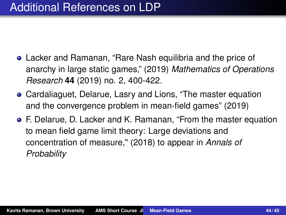- Lacker and Ramanan, "Rare Nash equilibria and the price of anarchy in large static games," (2019) *Mathematics of Operations Research* **44** (2019) no. 2, 400-422.
- Cardaliaguet, Delarue, Lasry and Lions, "The master equation and the convergence problem in mean-field games" (2019)
- F. Delarue, D. Lacker and K. Ramanan, "From the master equation to mean field game limit theory: Large deviations and concentration of measure," (2018) to appear in *Annals of Probability*